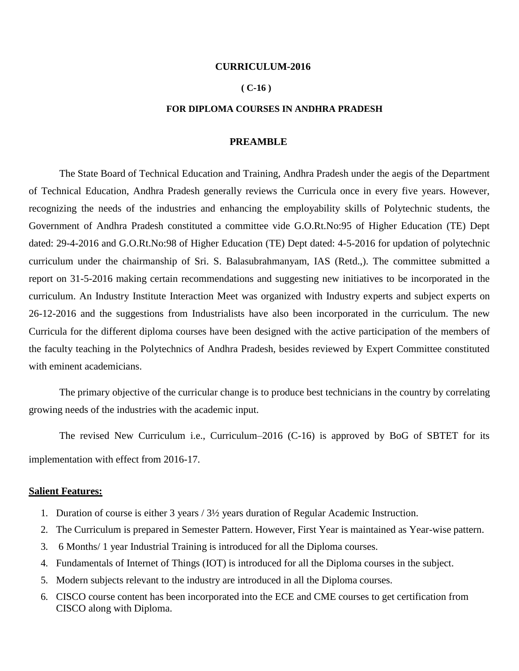#### **CURRICULUM-2016**

#### **( C-16 )**

#### **FOR DIPLOMA COURSES IN ANDHRA PRADESH**

#### **PREAMBLE**

The State Board of Technical Education and Training, Andhra Pradesh under the aegis of the Department of Technical Education, Andhra Pradesh generally reviews the Curricula once in every five years. However, recognizing the needs of the industries and enhancing the employability skills of Polytechnic students, the Government of Andhra Pradesh constituted a committee vide G.O.Rt.No:95 of Higher Education (TE) Dept dated: 29-4-2016 and G.O.Rt.No:98 of Higher Education (TE) Dept dated: 4-5-2016 for updation of polytechnic curriculum under the chairmanship of Sri. S. Balasubrahmanyam, IAS (Retd.,). The committee submitted a report on 31-5-2016 making certain recommendations and suggesting new initiatives to be incorporated in the curriculum. An Industry Institute Interaction Meet was organized with Industry experts and subject experts on 26-12-2016 and the suggestions from Industrialists have also been incorporated in the curriculum. The new Curricula for the different diploma courses have been designed with the active participation of the members of the faculty teaching in the Polytechnics of Andhra Pradesh, besides reviewed by Expert Committee constituted with eminent academicians.

The primary objective of the curricular change is to produce best technicians in the country by correlating growing needs of the industries with the academic input.

The revised New Curriculum i.e., Curriculum–2016 (C-16) is approved by BoG of SBTET for its implementation with effect from 2016-17.

#### **Salient Features:**

- 1. Duration of course is either 3 years / 3½ years duration of Regular Academic Instruction.
- 2. The Curriculum is prepared in Semester Pattern. However, First Year is maintained as Year-wise pattern.
- 3. 6 Months/ 1 year Industrial Training is introduced for all the Diploma courses.
- 4. Fundamentals of Internet of Things (IOT) is introduced for all the Diploma courses in the subject.
- 5. Modern subjects relevant to the industry are introduced in all the Diploma courses.
- 6. CISCO course content has been incorporated into the ECE and CME courses to get certification from CISCO along with Diploma.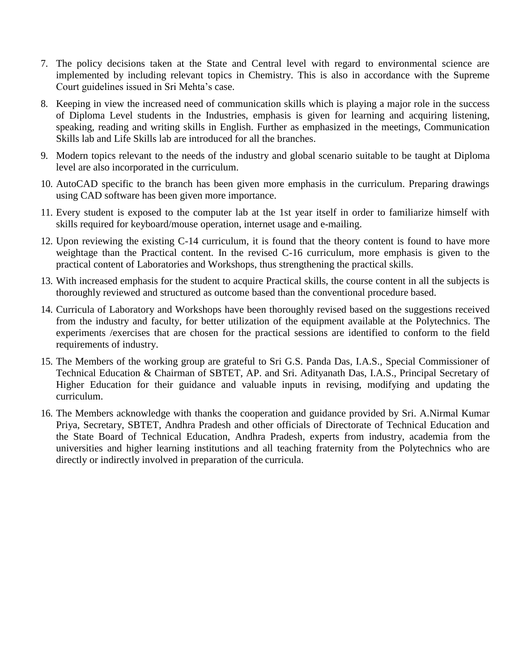- 7. The policy decisions taken at the State and Central level with regard to environmental science are implemented by including relevant topics in Chemistry. This is also in accordance with the Supreme Court guidelines issued in Sri Mehta's case.
- 8. Keeping in view the increased need of communication skills which is playing a major role in the success of Diploma Level students in the Industries, emphasis is given for learning and acquiring listening, speaking, reading and writing skills in English. Further as emphasized in the meetings, Communication Skills lab and Life Skills lab are introduced for all the branches.
- 9. Modern topics relevant to the needs of the industry and global scenario suitable to be taught at Diploma level are also incorporated in the curriculum.
- 10. AutoCAD specific to the branch has been given more emphasis in the curriculum. Preparing drawings using CAD software has been given more importance.
- 11. Every student is exposed to the computer lab at the 1st year itself in order to familiarize himself with skills required for keyboard/mouse operation, internet usage and e-mailing.
- 12. Upon reviewing the existing C-14 curriculum, it is found that the theory content is found to have more weightage than the Practical content. In the revised C-16 curriculum, more emphasis is given to the practical content of Laboratories and Workshops, thus strengthening the practical skills.
- 13. With increased emphasis for the student to acquire Practical skills, the course content in all the subjects is thoroughly reviewed and structured as outcome based than the conventional procedure based.
- 14. Curricula of Laboratory and Workshops have been thoroughly revised based on the suggestions received from the industry and faculty, for better utilization of the equipment available at the Polytechnics. The experiments /exercises that are chosen for the practical sessions are identified to conform to the field requirements of industry.
- 15. The Members of the working group are grateful to Sri G.S. Panda Das, I.A.S., Special Commissioner of Technical Education & Chairman of SBTET, AP. and Sri. Adityanath Das, I.A.S., Principal Secretary of Higher Education for their guidance and valuable inputs in revising, modifying and updating the curriculum.
- 16. The Members acknowledge with thanks the cooperation and guidance provided by Sri. A.Nirmal Kumar Priya, Secretary, SBTET, Andhra Pradesh and other officials of Directorate of Technical Education and the State Board of Technical Education, Andhra Pradesh, experts from industry, academia from the universities and higher learning institutions and all teaching fraternity from the Polytechnics who are directly or indirectly involved in preparation of the curricula.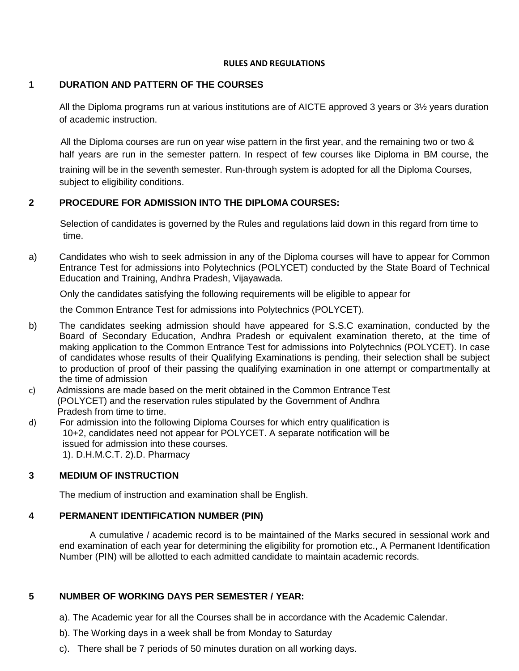#### **RULES AND REGULATIONS**

## **1 DURATION AND PATTERN OF THE COURSES**

All the Diploma programs run at various institutions are of AICTE approved 3 years or 3½ years duration of academic instruction.

All the Diploma courses are run on year wise pattern in the first year, and the remaining two or two & half years are run in the semester pattern. In respect of few courses like Diploma in BM course, the

training will be in the seventh semester. Run-through system is adopted for all the Diploma Courses, subject to eligibility conditions.

### **2 PROCEDURE FOR ADMISSION INTO THE DIPLOMA COURSES:**

Selection of candidates is governed by the Rules and regulations laid down in this regard from time to time.

a) Candidates who wish to seek admission in any of the Diploma courses will have to appear for Common Entrance Test for admissions into Polytechnics (POLYCET) conducted by the State Board of Technical Education and Training, Andhra Pradesh, Vijayawada.

Only the candidates satisfying the following requirements will be eligible to appear for

the Common Entrance Test for admissions into Polytechnics (POLYCET).

- b) The candidates seeking admission should have appeared for S.S.C examination, conducted by the Board of Secondary Education, Andhra Pradesh or equivalent examination thereto, at the time of making application to the Common Entrance Test for admissions into Polytechnics (POLYCET). In case of candidates whose results of their Qualifying Examinations is pending, their selection shall be subject to production of proof of their passing the qualifying examination in one attempt or compartmentally at the time of admission
- c) Admissions are made based on the merit obtained in the Common Entrance Test (POLYCET) and the reservation rules stipulated by the Government of Andhra Pradesh from time to time.
- d) For admission into the following Diploma Courses for which entry qualification is 10+2, candidates need not appear for POLYCET. A separate notification will be issued for admission into these courses.

1). D.H.M.C.T. 2).D. Pharmacy

### **3 MEDIUM OF INSTRUCTION**

The medium of instruction and examination shall be English.

### **4 PERMANENT IDENTIFICATION NUMBER (PIN)**

A cumulative / academic record is to be maintained of the Marks secured in sessional work and end examination of each year for determining the eligibility for promotion etc., A Permanent Identification Number (PIN) will be allotted to each admitted candidate to maintain academic records.

### **5 NUMBER OF WORKING DAYS PER SEMESTER / YEAR:**

- a). The Academic year for all the Courses shall be in accordance with the Academic Calendar.
- b). The Working days in a week shall be from Monday to Saturday
- c). There shall be 7 periods of 50 minutes duration on all working days.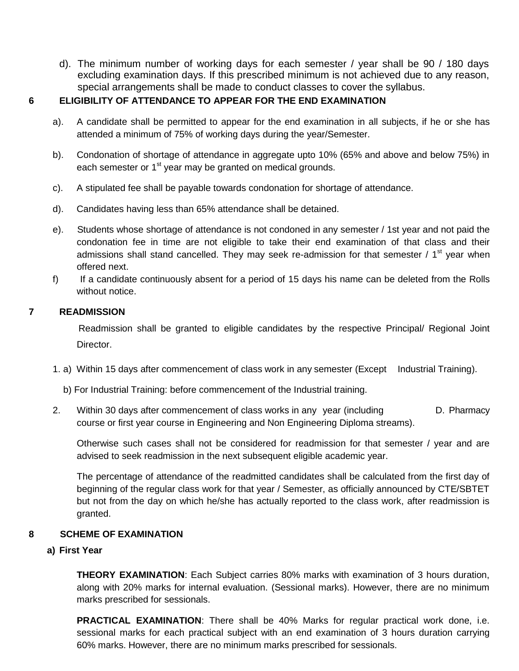d). The minimum number of working days for each semester / year shall be 90 / 180 days excluding examination days. If this prescribed minimum is not achieved due to any reason, special arrangements shall be made to conduct classes to cover the syllabus.

### **6 ELIGIBILITY OF ATTENDANCE TO APPEAR FOR THE END EXAMINATION**

- a). A candidate shall be permitted to appear for the end examination in all subjects, if he or she has attended a minimum of 75% of working days during the year/Semester.
- b). Condonation of shortage of attendance in aggregate upto 10% (65% and above and below 75%) in each semester or  $1<sup>st</sup>$  year may be granted on medical grounds.
- c). A stipulated fee shall be payable towards condonation for shortage of attendance.
- d). Candidates having less than 65% attendance shall be detained.
- e). Students whose shortage of attendance is not condoned in any semester / 1st year and not paid the condonation fee in time are not eligible to take their end examination of that class and their admissions shall stand cancelled. They may seek re-admission for that semester /  $1<sup>st</sup>$  year when offered next.
- f) If a candidate continuously absent for a period of 15 days his name can be deleted from the Rolls without notice.

### **7 READMISSION**

Readmission shall be granted to eligible candidates by the respective Principal/ Regional Joint Director.

- 1. a) Within 15 days after commencement of class work in any semester (Except Industrial Training).
	- b) For Industrial Training: before commencement of the Industrial training.
- 2. Within 30 days after commencement of class works in any year (including D. Pharmacy course or first year course in Engineering and Non Engineering Diploma streams).

Otherwise such cases shall not be considered for readmission for that semester / year and are advised to seek readmission in the next subsequent eligible academic year.

The percentage of attendance of the readmitted candidates shall be calculated from the first day of beginning of the regular class work for that year / Semester, as officially announced by CTE/SBTET but not from the day on which he/she has actually reported to the class work, after readmission is granted.

### **8 SCHEME OF EXAMINATION**

### **a) First Year**

**THEORY EXAMINATION**: Each Subject carries 80% marks with examination of 3 hours duration, along with 20% marks for internal evaluation. (Sessional marks). However, there are no minimum marks prescribed for sessionals.

**PRACTICAL EXAMINATION**: There shall be 40% Marks for regular practical work done, i.e. sessional marks for each practical subject with an end examination of 3 hours duration carrying 60% marks. However, there are no minimum marks prescribed for sessionals.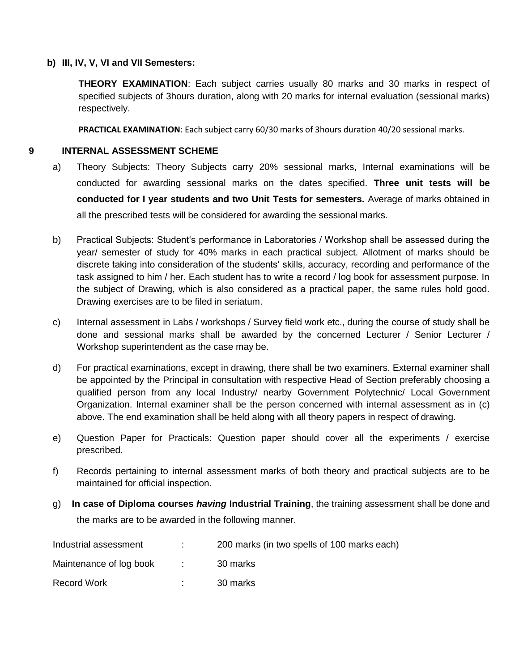#### **b) III, IV, V, VI and VII Semesters:**

**THEORY EXAMINATION**: Each subject carries usually 80 marks and 30 marks in respect of specified subjects of 3hours duration, along with 20 marks for internal evaluation (sessional marks) respectively.

**PRACTICAL EXAMINATION**: Each subject carry 60/30 marks of 3hours duration 40/20 sessional marks.

#### **9 INTERNAL ASSESSMENT SCHEME**

- a) Theory Subjects: Theory Subjects carry 20% sessional marks, Internal examinations will be conducted for awarding sessional marks on the dates specified. **Three unit tests will be conducted for I year students and two Unit Tests for semesters.** Average of marks obtained in all the prescribed tests will be considered for awarding the sessional marks.
- b) Practical Subjects: Student's performance in Laboratories / Workshop shall be assessed during the year/ semester of study for 40% marks in each practical subject. Allotment of marks should be discrete taking into consideration of the students' skills, accuracy, recording and performance of the task assigned to him / her. Each student has to write a record / log book for assessment purpose. In the subject of Drawing, which is also considered as a practical paper, the same rules hold good. Drawing exercises are to be filed in seriatum.
- c) Internal assessment in Labs / workshops / Survey field work etc., during the course of study shall be done and sessional marks shall be awarded by the concerned Lecturer / Senior Lecturer / Workshop superintendent as the case may be.
- d) For practical examinations, except in drawing, there shall be two examiners. External examiner shall be appointed by the Principal in consultation with respective Head of Section preferably choosing a qualified person from any local Industry/ nearby Government Polytechnic/ Local Government Organization. Internal examiner shall be the person concerned with internal assessment as in (c) above. The end examination shall be held along with all theory papers in respect of drawing.
- e) Question Paper for Practicals: Question paper should cover all the experiments / exercise prescribed.
- f) Records pertaining to internal assessment marks of both theory and practical subjects are to be maintained for official inspection.
- g) **In case of Diploma courses** *having* **Industrial Training**, the training assessment shall be done and the marks are to be awarded in the following manner.

| Industrial assessment   |                   | 200 marks (in two spells of 100 marks each) |
|-------------------------|-------------------|---------------------------------------------|
| Maintenance of log book | <b>Contractor</b> | 30 marks                                    |
| <b>Record Work</b>      |                   | 30 marks                                    |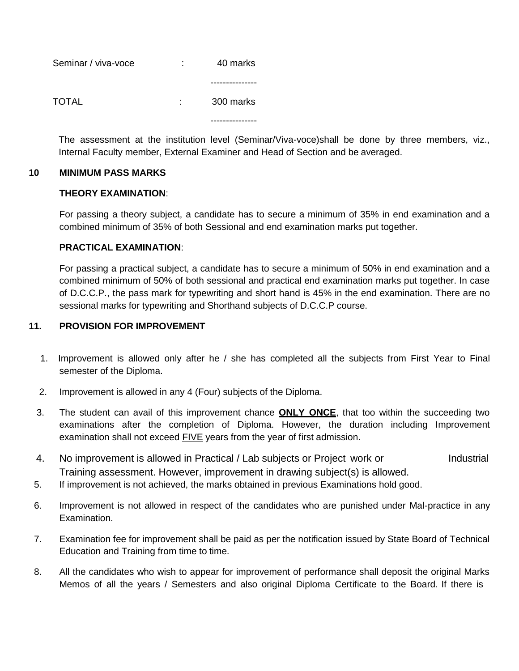| Seminar / viva-voce | . .<br>۰ | 40 marks  |
|---------------------|----------|-----------|
|                     |          |           |
| TOTAL               | ٠.       | 300 marks |
|                     |          |           |

The assessment at the institution level (Seminar/Viva-voce)shall be done by three members, viz., Internal Faculty member, External Examiner and Head of Section and be averaged.

### **10 MINIMUM PASS MARKS**

### **THEORY EXAMINATION**:

For passing a theory subject, a candidate has to secure a minimum of 35% in end examination and a combined minimum of 35% of both Sessional and end examination marks put together.

### **PRACTICAL EXAMINATION**:

For passing a practical subject, a candidate has to secure a minimum of 50% in end examination and a combined minimum of 50% of both sessional and practical end examination marks put together. In case of D.C.C.P., the pass mark for typewriting and short hand is 45% in the end examination. There are no sessional marks for typewriting and Shorthand subjects of D.C.C.P course.

### **11. PROVISION FOR IMPROVEMENT**

- 1. Improvement is allowed only after he / she has completed all the subjects from First Year to Final semester of the Diploma.
- 2. Improvement is allowed in any 4 (Four) subjects of the Diploma.
- 3. The student can avail of this improvement chance **ONLY ONCE**, that too within the succeeding two examinations after the completion of Diploma. However, the duration including Improvement examination shall not exceed FIVE years from the year of first admission.
- 4. No improvement is allowed in Practical / Lab subjects or Project work or Industrial Training assessment. However, improvement in drawing subject(s) is allowed.
- 5. If improvement is not achieved, the marks obtained in previous Examinations hold good.
- 6. Improvement is not allowed in respect of the candidates who are punished under Mal-practice in any Examination.
- 7. Examination fee for improvement shall be paid as per the notification issued by State Board of Technical Education and Training from time to time.
- 8. All the candidates who wish to appear for improvement of performance shall deposit the original Marks Memos of all the years / Semesters and also original Diploma Certificate to the Board. If there is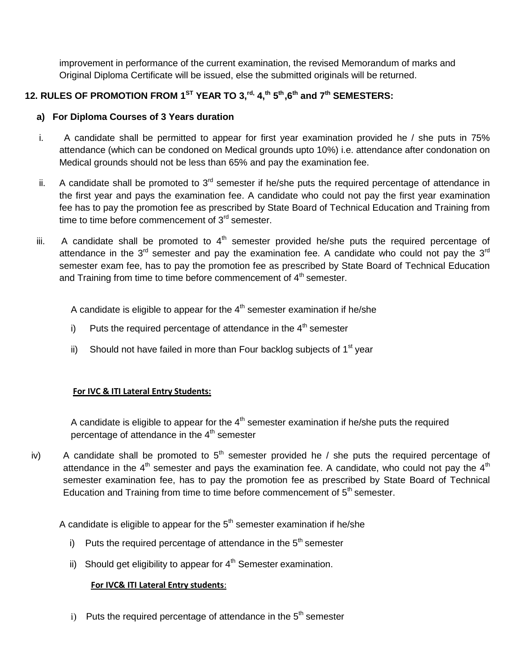improvement in performance of the current examination, the revised Memorandum of marks and Original Diploma Certificate will be issued, else the submitted originals will be returned.

# **12. RULES OF PROMOTION FROM 1ST YEAR TO 3,rd, 4,th 5 th,6th and 7th SEMESTERS:**

## **a) For Diploma Courses of 3 Years duration**

- i. A candidate shall be permitted to appear for first year examination provided he / she puts in 75% attendance (which can be condoned on Medical grounds upto 10%) i.e. attendance after condonation on Medical grounds should not be less than 65% and pay the examination fee.
- ii. A candidate shall be promoted to  $3<sup>rd</sup>$  semester if he/she puts the required percentage of attendance in the first year and pays the examination fee. A candidate who could not pay the first year examination fee has to pay the promotion fee as prescribed by State Board of Technical Education and Training from time to time before commencement of  $3<sup>rd</sup>$  semester.
- iii. A candidate shall be promoted to  $4<sup>th</sup>$  semester provided he/she puts the required percentage of attendance in the  $3<sup>rd</sup>$  semester and pay the examination fee. A candidate who could not pay the  $3<sup>rd</sup>$ semester exam fee, has to pay the promotion fee as prescribed by State Board of Technical Education and Training from time to time before commencement of 4<sup>th</sup> semester.

A candidate is eligible to appear for the  $4<sup>th</sup>$  semester examination if he/she

- i) Puts the required percentage of attendance in the  $4<sup>th</sup>$  semester
- ii) Should not have failed in more than Four backlog subjects of  $1<sup>st</sup>$  year

## **For IVC & ITI Lateral Entry Students:**

A candidate is eligible to appear for the  $4<sup>th</sup>$  semester examination if he/she puts the required percentage of attendance in the  $4<sup>th</sup>$  semester

iv) A candidate shall be promoted to  $5<sup>th</sup>$  semester provided he / she puts the required percentage of attendance in the  $4<sup>th</sup>$  semester and pays the examination fee. A candidate, who could not pay the  $4<sup>th</sup>$ semester examination fee, has to pay the promotion fee as prescribed by State Board of Technical Education and Training from time to time before commencement of  $5<sup>th</sup>$  semester.

A candidate is eligible to appear for the  $5<sup>th</sup>$  semester examination if he/she

- i) Puts the required percentage of attendance in the  $5<sup>th</sup>$  semester
- ii) Should get eligibility to appear for  $4<sup>th</sup>$  Semester examination.

## **For IVC& ITI Lateral Entry students**:

i) Puts the required percentage of attendance in the  $5<sup>th</sup>$  semester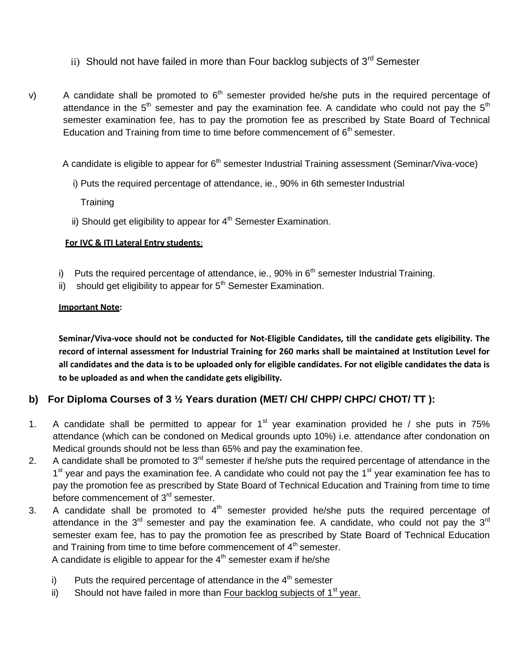- ii) Should not have failed in more than Four backlog subjects of  $3<sup>rd</sup>$  Semester
- v) A candidate shall be promoted to  $6<sup>th</sup>$  semester provided he/she puts in the required percentage of attendance in the  $5<sup>th</sup>$  semester and pay the examination fee. A candidate who could not pay the  $5<sup>th</sup>$ semester examination fee, has to pay the promotion fee as prescribed by State Board of Technical Education and Training from time to time before commencement of  $6<sup>th</sup>$  semester.

A candidate is eligible to appear for  $6<sup>th</sup>$  semester Industrial Training assessment (Seminar/Viva-voce)

i) Puts the required percentage of attendance, ie., 90% in 6th semester Industrial

**Training** 

ii) Should get eligibility to appear for  $4<sup>th</sup>$  Semester Examination.

#### **For IVC & ITI Lateral Entry students**:

- i) Puts the required percentage of attendance, ie., 90% in  $6<sup>th</sup>$  semester Industrial Training.
- ii) should get eligibility to appear for  $5<sup>th</sup>$  Semester Examination.

### **Important Note:**

**Seminar/Viva-voce should not be conducted for Not-Eligible Candidates, till the candidate gets eligibility. The record of internal assessment for Industrial Training for 260 marks shall be maintained at Institution Level for all candidates and the data is to be uploaded only for eligible candidates. For not eligible candidates the data is to be uploaded as and when the candidate gets eligibility.**

## **b) For Diploma Courses of 3 ½ Years duration (MET/ CH/ CHPP/ CHPC/ CHOT/ TT ):**

- 1. A candidate shall be permitted to appear for  $1<sup>st</sup>$  year examination provided he / she puts in 75% attendance (which can be condoned on Medical grounds upto 10%) i.e. attendance after condonation on Medical grounds should not be less than 65% and pay the examination fee.
- 2. A candidate shall be promoted to  $3^{rd}$  semester if he/she puts the required percentage of attendance in the 1<sup>st</sup> year and pays the examination fee. A candidate who could not pay the 1<sup>st</sup> year examination fee has to pay the promotion fee as prescribed by State Board of Technical Education and Training from time to time before commencement of  $3<sup>rd</sup>$  semester.
- 3. A candidate shall be promoted to  $4<sup>th</sup>$  semester provided he/she puts the required percentage of attendance in the  $3<sup>rd</sup>$  semester and pay the examination fee. A candidate, who could not pay the  $3<sup>rd</sup>$ semester exam fee, has to pay the promotion fee as prescribed by State Board of Technical Education and Training from time to time before commencement of  $4<sup>th</sup>$  semester. A candidate is eligible to appear for the  $4<sup>th</sup>$  semester exam if he/she
	- i) Puts the required percentage of attendance in the  $4<sup>th</sup>$  semester
	- ii) Should not have failed in more than Four backlog subjects of  $1<sup>st</sup>$  year.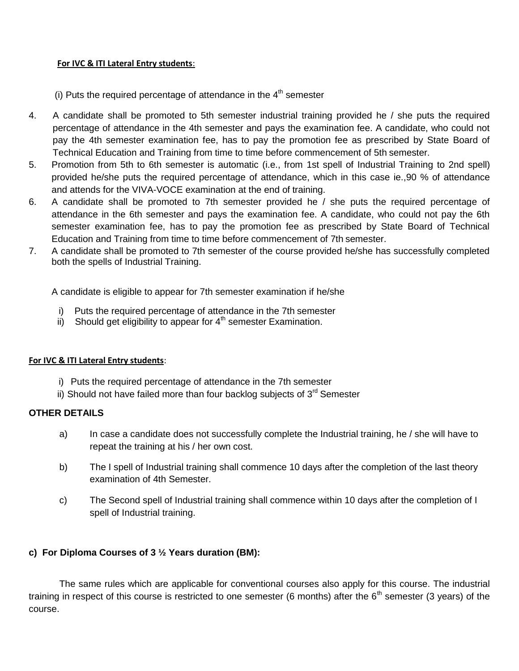#### **For IVC & ITI Lateral Entry students**:

(i) Puts the required percentage of attendance in the  $4<sup>th</sup>$  semester

- 4. A candidate shall be promoted to 5th semester industrial training provided he / she puts the required percentage of attendance in the 4th semester and pays the examination fee. A candidate, who could not pay the 4th semester examination fee, has to pay the promotion fee as prescribed by State Board of Technical Education and Training from time to time before commencement of 5th semester.
- 5. Promotion from 5th to 6th semester is automatic (i.e., from 1st spell of Industrial Training to 2nd spell) provided he/she puts the required percentage of attendance, which in this case ie.,90 % of attendance and attends for the VIVA-VOCE examination at the end of training.
- 6. A candidate shall be promoted to 7th semester provided he / she puts the required percentage of attendance in the 6th semester and pays the examination fee. A candidate, who could not pay the 6th semester examination fee, has to pay the promotion fee as prescribed by State Board of Technical Education and Training from time to time before commencement of 7th semester.
- 7. A candidate shall be promoted to 7th semester of the course provided he/she has successfully completed both the spells of Industrial Training.

A candidate is eligible to appear for 7th semester examination if he/she

- i) Puts the required percentage of attendance in the 7th semester
- $\overline{ii}$ ) Should get eligibility to appear for  $4^{\text{th}}$  semester Examination.

### **For IVC & ITI Lateral Entry students**:

- i) Puts the required percentage of attendance in the 7th semester
- ii) Should not have failed more than four backlog subjects of  $3<sup>rd</sup>$  Semester

### **OTHER DETAILS**

- a) In case a candidate does not successfully complete the Industrial training, he / she will have to repeat the training at his / her own cost.
- b) The I spell of Industrial training shall commence 10 days after the completion of the last theory examination of 4th Semester.
- c) The Second spell of Industrial training shall commence within 10 days after the completion of I spell of Industrial training.

## **c) For Diploma Courses of 3 ½ Years duration (BM):**

The same rules which are applicable for conventional courses also apply for this course. The industrial training in respect of this course is restricted to one semester (6 months) after the  $6<sup>th</sup>$  semester (3 years) of the course.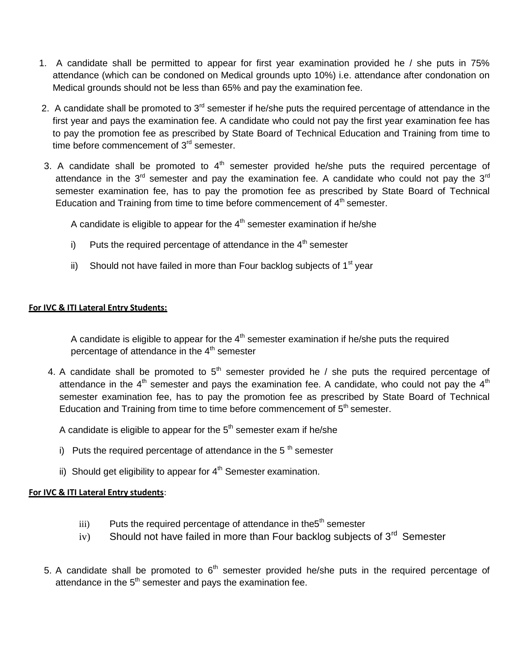- 1. A candidate shall be permitted to appear for first year examination provided he / she puts in 75% attendance (which can be condoned on Medical grounds upto 10%) i.e. attendance after condonation on Medical grounds should not be less than 65% and pay the examination fee.
- 2. A candidate shall be promoted to  $3<sup>rd</sup>$  semester if he/she puts the required percentage of attendance in the first year and pays the examination fee. A candidate who could not pay the first year examination fee has to pay the promotion fee as prescribed by State Board of Technical Education and Training from time to time before commencement of  $3<sup>rd</sup>$  semester.
- 3. A candidate shall be promoted to  $4<sup>th</sup>$  semester provided he/she puts the required percentage of attendance in the  $3<sup>rd</sup>$  semester and pay the examination fee. A candidate who could not pay the  $3<sup>rd</sup>$ semester examination fee, has to pay the promotion fee as prescribed by State Board of Technical Education and Training from time to time before commencement of  $4<sup>th</sup>$  semester.

A candidate is eligible to appear for the  $4<sup>th</sup>$  semester examination if he/she

- i) Puts the required percentage of attendance in the  $4<sup>th</sup>$  semester
- ii) Should not have failed in more than Four backlog subjects of  $1<sup>st</sup>$  year

### **For IVC & ITI Lateral Entry Students:**

A candidate is eligible to appear for the  $4<sup>th</sup>$  semester examination if he/she puts the required percentage of attendance in the  $4<sup>th</sup>$  semester

4. A candidate shall be promoted to  $5<sup>th</sup>$  semester provided he / she puts the required percentage of attendance in the  $4<sup>th</sup>$  semester and pays the examination fee. A candidate, who could not pay the  $4<sup>th</sup>$ semester examination fee, has to pay the promotion fee as prescribed by State Board of Technical Education and Training from time to time before commencement of  $5<sup>th</sup>$  semester.

A candidate is eligible to appear for the  $5<sup>th</sup>$  semester exam if he/she

- i) Puts the required percentage of attendance in the 5<sup>th</sup> semester
- ii) Should get eligibility to appear for  $4<sup>th</sup>$  Semester examination.

### **For IVC & ITI Lateral Entry students**:

- $\delta$  Puts the required percentage of attendance in the  $5<sup>th</sup>$  semester
- iv) Should not have failed in more than Four backlog subjects of  $3<sup>rd</sup>$  Semester
- 5. A candidate shall be promoted to  $6<sup>th</sup>$  semester provided he/she puts in the required percentage of attendance in the  $5<sup>th</sup>$  semester and pays the examination fee.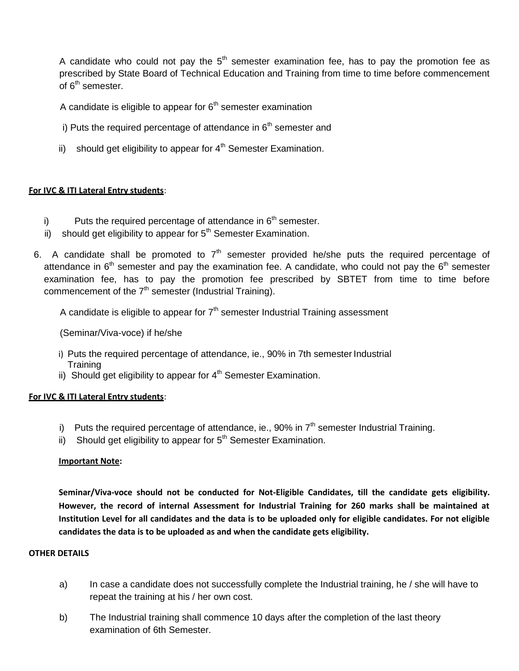A candidate who could not pay the  $5<sup>th</sup>$  semester examination fee, has to pay the promotion fee as prescribed by State Board of Technical Education and Training from time to time before commencement of 6<sup>th</sup> semester.

A candidate is eligible to appear for  $6<sup>th</sup>$  semester examination

- i) Puts the required percentage of attendance in  $6<sup>th</sup>$  semester and
- ii) should get eligibility to appear for  $4<sup>th</sup>$  Semester Examination.

### **For IVC & ITI Lateral Entry students**:

- i) Puts the required percentage of attendance in  $6<sup>th</sup>$  semester.
- ii) should get eligibility to appear for  $5<sup>th</sup>$  Semester Examination.
- 6. A candidate shall be promoted to  $7<sup>th</sup>$  semester provided he/she puts the required percentage of attendance in  $6<sup>th</sup>$  semester and pay the examination fee. A candidate, who could not pay the  $6<sup>th</sup>$  semester examination fee, has to pay the promotion fee prescribed by SBTET from time to time before commencement of the  $7<sup>th</sup>$  semester (Industrial Training).

A candidate is eligible to appear for  $7<sup>th</sup>$  semester Industrial Training assessment

(Seminar/Viva-voce) if he/she

- i) Puts the required percentage of attendance, ie., 90% in 7th semester Industrial **Training**
- ii) Should get eligibility to appear for  $4<sup>th</sup>$  Semester Examination.

### **For IVC & ITI Lateral Entry students**:

- i) Puts the required percentage of attendance, ie., 90% in  $7<sup>th</sup>$  semester Industrial Training.
- ii) Should get eligibility to appear for  $5<sup>th</sup>$  Semester Examination.

#### **Important Note:**

**Seminar/Viva-voce should not be conducted for Not-Eligible Candidates, till the candidate gets eligibility. However, the record of internal Assessment for Industrial Training for 260 marks shall be maintained at Institution Level for all candidates and the data is to be uploaded only for eligible candidates. For not eligible candidates the data is to be uploaded as and when the candidate gets eligibility.**

#### **OTHER DETAILS**

- a) In case a candidate does not successfully complete the Industrial training, he / she will have to repeat the training at his / her own cost.
- b) The Industrial training shall commence 10 days after the completion of the last theory examination of 6th Semester.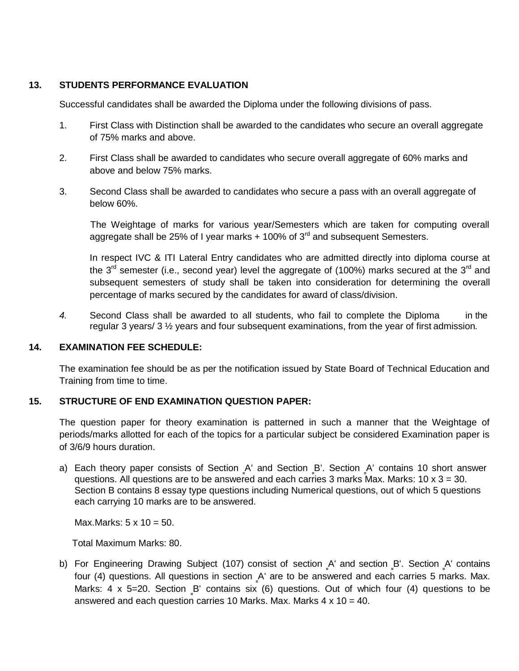### **13. STUDENTS PERFORMANCE EVALUATION**

Successful candidates shall be awarded the Diploma under the following divisions of pass.

- 1. First Class with Distinction shall be awarded to the candidates who secure an overall aggregate of 75% marks and above.
- 2. First Class shall be awarded to candidates who secure overall aggregate of 60% marks and above and below 75% marks.
- 3. Second Class shall be awarded to candidates who secure a pass with an overall aggregate of below 60%.

The Weightage of marks for various year/Semesters which are taken for computing overall aggregate shall be 25% of I year marks  $+$  100% of 3<sup>rd</sup> and subsequent Semesters.

In respect IVC & ITI Lateral Entry candidates who are admitted directly into diploma course at the  $3^{rd}$  semester (i.e., second year) level the aggregate of (100%) marks secured at the  $3^{rd}$  and subsequent semesters of study shall be taken into consideration for determining the overall percentage of marks secured by the candidates for award of class/division.

*4.* Second Class shall be awarded to all students, who fail to complete the Diploma in the regular 3 years/ 3 ½ years and four subsequent examinations, from the year of first admission*.*

## **14. EXAMINATION FEE SCHEDULE:**

The examination fee should be as per the notification issued by State Board of Technical Education and Training from time to time.

## **15. STRUCTURE OF END EXAMINATION QUESTION PAPER:**

The question paper for theory examination is patterned in such a manner that the Weightage of periods/marks allotted for each of the topics for a particular subject be considered Examination paper is of 3/6/9 hours duration.

a) Each theory paper consists of Section A' and Section B'. Section A' contains 10 short answer questions. All questions are to be answered and each carries 3 marks Max. Marks:  $10 \times 3 = 30$ . Section B contains 8 essay type questions including Numerical questions, out of which 5 questions each carrying 10 marks are to be answered.

Max.Marks:  $5 \times 10 = 50$ .

Total Maximum Marks: 80.

b) For Engineering Drawing Subject (107) consist of section A' and section B'. Section A' contains four (4) questions. All questions in section A' are to be answered and each carries 5 marks. Max. Marks: 4 x 5=20. Section B' contains six (6) questions. Out of which four (4) questions to be answered and each question carries 10 Marks. Max. Marks  $4 \times 10 = 40$ .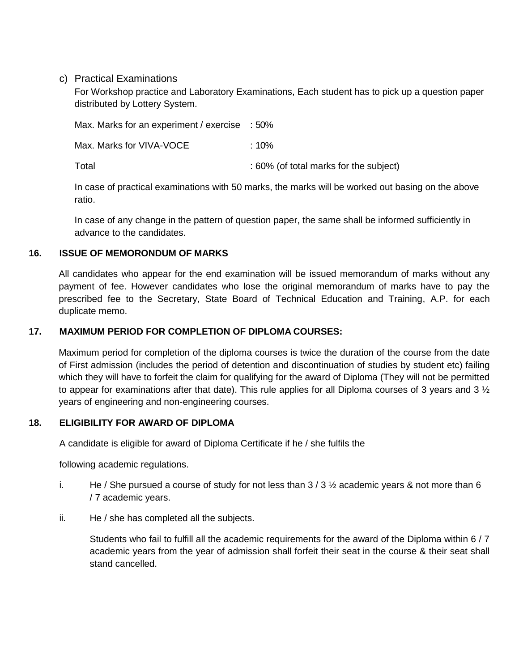c) Practical Examinations

For Workshop practice and Laboratory Examinations, Each student has to pick up a question paper distributed by Lottery System.

Max. Marks for an experiment / exercise : 50% Max. Marks for VIVA-VOCE : 10% Total Total intervals of the subject of the subject of the subject of the subject of the subject of the subject

In case of practical examinations with 50 marks, the marks will be worked out basing on the above ratio.

In case of any change in the pattern of question paper, the same shall be informed sufficiently in advance to the candidates.

### **16. ISSUE OF MEMORONDUM OF MARKS**

All candidates who appear for the end examination will be issued memorandum of marks without any payment of fee. However candidates who lose the original memorandum of marks have to pay the prescribed fee to the Secretary, State Board of Technical Education and Training, A.P. for each duplicate memo.

### **17. MAXIMUM PERIOD FOR COMPLETION OF DIPLOMA COURSES:**

Maximum period for completion of the diploma courses is twice the duration of the course from the date of First admission (includes the period of detention and discontinuation of studies by student etc) failing which they will have to forfeit the claim for qualifying for the award of Diploma (They will not be permitted to appear for examinations after that date). This rule applies for all Diploma courses of 3 years and 3  $\frac{1}{2}$ years of engineering and non-engineering courses.

### **18. ELIGIBILITY FOR AWARD OF DIPLOMA**

A candidate is eligible for award of Diploma Certificate if he / she fulfils the

following academic regulations.

- i. He / She pursued a course of study for not less than  $3/3\frac{1}{2}$  academic years & not more than 6 / 7 academic years.
- ii. He / she has completed all the subjects.

Students who fail to fulfill all the academic requirements for the award of the Diploma within 6 / 7 academic years from the year of admission shall forfeit their seat in the course & their seat shall stand cancelled.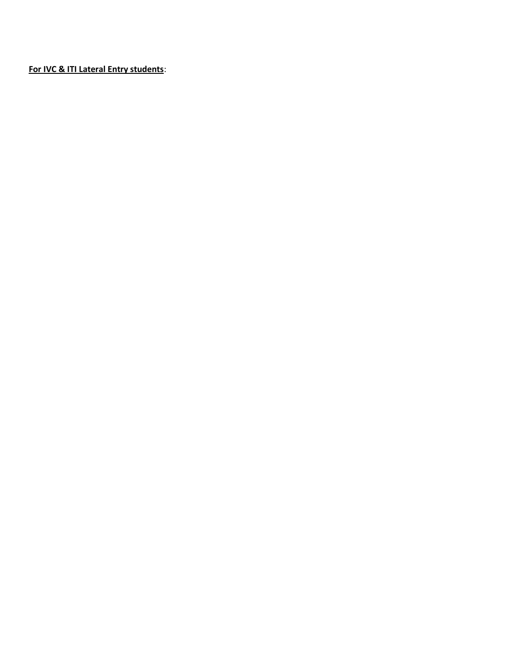**For IVC & ITI Lateral Entry students**: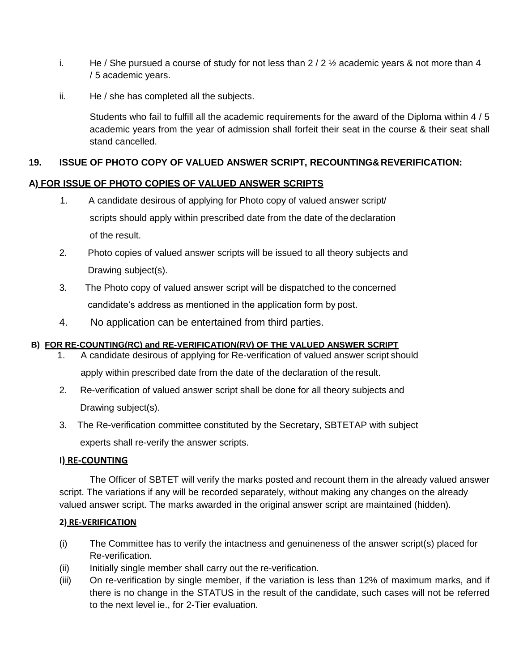- i. He / She pursued a course of study for not less than  $2/2$  % academic years & not more than 4 / 5 academic years.
- ii. He / she has completed all the subjects.

Students who fail to fulfill all the academic requirements for the award of the Diploma within 4 / 5 academic years from the year of admission shall forfeit their seat in the course & their seat shall stand cancelled.

## **19. ISSUE OF PHOTO COPY OF VALUED ANSWER SCRIPT, RECOUNTING&REVERIFICATION:**

### **A) FOR ISSUE OF PHOTO COPIES OF VALUED ANSWER SCRIPTS**

- 1. A candidate desirous of applying for Photo copy of valued answer script/ scripts should apply within prescribed date from the date of the declaration of the result.
- 2. Photo copies of valued answer scripts will be issued to all theory subjects and Drawing subject(s).
- 3. The Photo copy of valued answer script will be dispatched to the concerned candidate's address as mentioned in the application form by post.
- 4. No application can be entertained from third parties.

### **B) FOR RE-COUNTING(RC) and RE-VERIFICATION(RV) OF THE VALUED ANSWER SCRIPT**

- 1. A candidate desirous of applying for Re-verification of valued answer script should apply within prescribed date from the date of the declaration of the result.
- 2. Re-verification of valued answer script shall be done for all theory subjects and Drawing subject(s).
- 3. The Re-verification committee constituted by the Secretary, SBTETAP with subject experts shall re-verify the answer scripts.

### **I) RE-COUNTING**

The Officer of SBTET will verify the marks posted and recount them in the already valued answer script. The variations if any will be recorded separately, without making any changes on the already valued answer script. The marks awarded in the original answer script are maintained (hidden).

#### **2) RE-VERIFICATION**

- (i) The Committee has to verify the intactness and genuineness of the answer script(s) placed for Re-verification.
- (ii) Initially single member shall carry out the re-verification.
- (iii) On re-verification by single member, if the variation is less than 12% of maximum marks, and if there is no change in the STATUS in the result of the candidate, such cases will not be referred to the next level ie., for 2-Tier evaluation.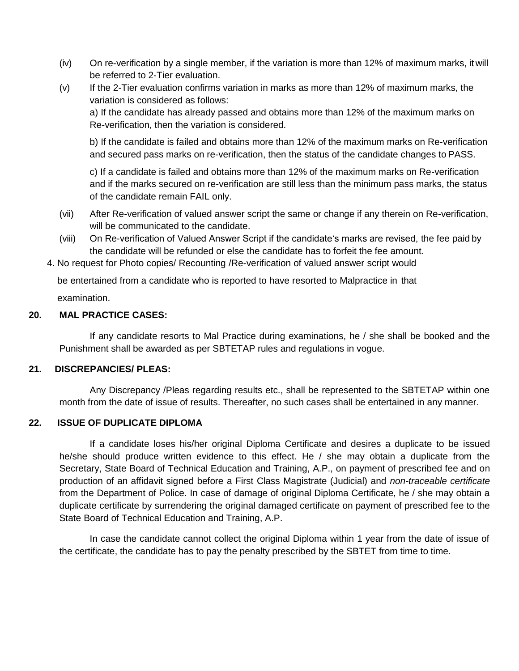- (iv) On re-verification by a single member, if the variation is more than 12% of maximum marks, it will be referred to 2-Tier evaluation.
- $(v)$  If the 2-Tier evaluation confirms variation in marks as more than 12% of maximum marks, the variation is considered as follows:

a) If the candidate has already passed and obtains more than 12% of the maximum marks on Re-verification, then the variation is considered.

b) If the candidate is failed and obtains more than 12% of the maximum marks on Re-verification and secured pass marks on re-verification, then the status of the candidate changes to PASS.

c) If a candidate is failed and obtains more than 12% of the maximum marks on Re-verification and if the marks secured on re-verification are still less than the minimum pass marks, the status of the candidate remain FAIL only.

- (vii) After Re-verification of valued answer script the same or change if any therein on Re-verification, will be communicated to the candidate.
- (viii) On Re-verification of Valued Answer Script if the candidate's marks are revised, the fee paid by the candidate will be refunded or else the candidate has to forfeit the fee amount.
- 4. No request for Photo copies/ Recounting /Re-verification of valued answer script would

be entertained from a candidate who is reported to have resorted to Malpractice in that

examination.

### **20. MAL PRACTICE CASES:**

If any candidate resorts to Mal Practice during examinations, he / she shall be booked and the Punishment shall be awarded as per SBTETAP rules and regulations in vogue.

### **21. DISCREPANCIES/ PLEAS:**

Any Discrepancy /Pleas regarding results etc., shall be represented to the SBTETAP within one month from the date of issue of results. Thereafter, no such cases shall be entertained in any manner.

### **22. ISSUE OF DUPLICATE DIPLOMA**

If a candidate loses his/her original Diploma Certificate and desires a duplicate to be issued he/she should produce written evidence to this effect. He / she may obtain a duplicate from the Secretary, State Board of Technical Education and Training, A.P., on payment of prescribed fee and on production of an affidavit signed before a First Class Magistrate (Judicial) and *non-traceable certificate*  from the Department of Police. In case of damage of original Diploma Certificate, he / she may obtain a duplicate certificate by surrendering the original damaged certificate on payment of prescribed fee to the State Board of Technical Education and Training, A.P.

In case the candidate cannot collect the original Diploma within 1 year from the date of issue of the certificate, the candidate has to pay the penalty prescribed by the SBTET from time to time.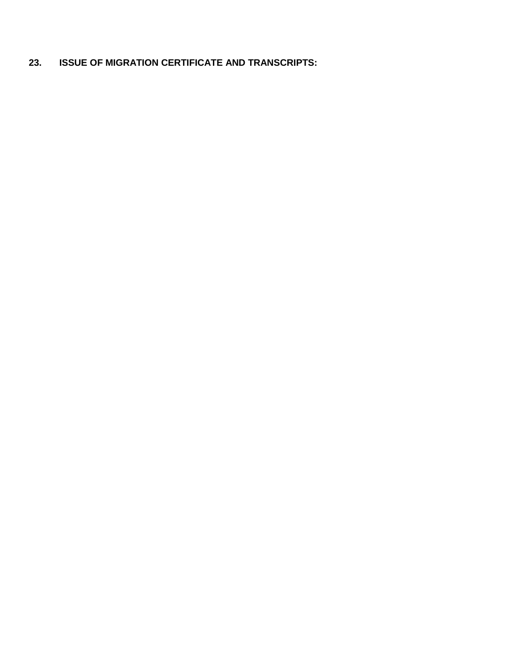# **23. ISSUE OF MIGRATION CERTIFICATE AND TRANSCRIPTS:**